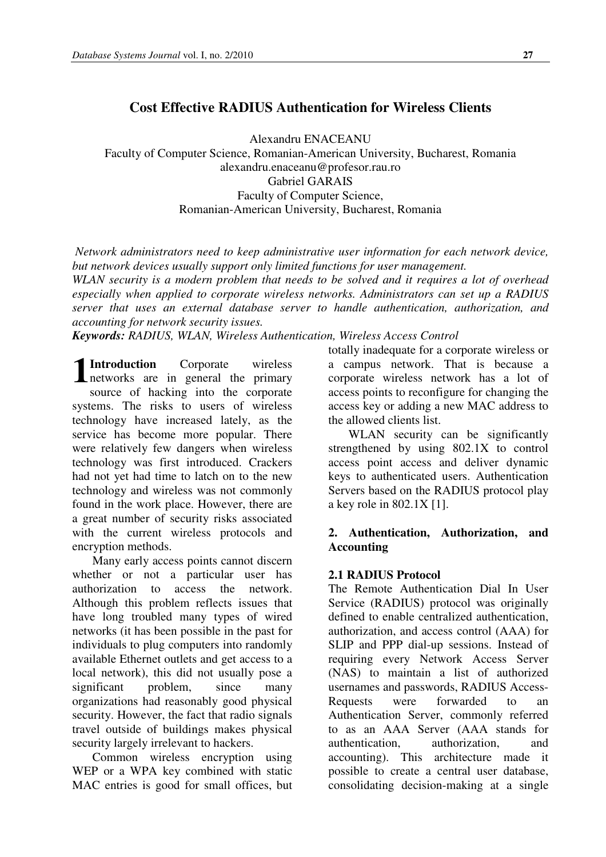# **Cost Effective RADIUS Authentication for Wireless Clients**

Alexandru ENACEANU Faculty of Computer Science, Romanian-American University, Bucharest, Romania alexandru.enaceanu@profesor.rau.ro Gabriel GARAIS Faculty of Computer Science, Romanian-American University, Bucharest, Romania

*Network administrators need to keep administrative user information for each network device, but network devices usually support only limited functions for user management. WLAN security is a modern problem that needs to be solved and it requires a lot of overhead especially when applied to corporate wireless networks. Administrators can set up a RADIUS server that uses an external database server to handle authentication, authorization, and accounting for network security issues.* 

*Keywords: RADIUS, WLAN, Wireless Authentication, Wireless Access Control* 

**Introduction** Corporate wireless networks are in general the primary source of hacking into the corporate systems. The risks to users of wireless technology have increased lately, as the service has become more popular. There were relatively few dangers when wireless technology was first introduced. Crackers had not yet had time to latch on to the new technology and wireless was not commonly found in the work place. However, there are a great number of security risks associated with the current wireless protocols and encryption methods. **1**

Many early access points cannot discern whether or not a particular user has authorization to access the network. Although this problem reflects issues that have long troubled many types of wired networks (it has been possible in the past for individuals to plug computers into randomly available Ethernet outlets and get access to a local network), this did not usually pose a significant problem, since many organizations had reasonably good physical security. However, the fact that radio signals travel outside of buildings makes physical security largely irrelevant to hackers.

Common wireless encryption using WEP or a WPA key combined with static MAC entries is good for small offices, but totally inadequate for a corporate wireless or a campus network. That is because a corporate wireless network has a lot of access points to reconfigure for changing the access key or adding a new MAC address to the allowed clients list.

WLAN security can be significantly strengthened by using 802.1X to control access point access and deliver dynamic keys to authenticated users. Authentication Servers based on the RADIUS protocol play a key role in 802.1X [1].

## **2. Authentication, Authorization, and Accounting**

## **2.1 RADIUS Protocol**

The Remote Authentication Dial In User Service (RADIUS) protocol was originally defined to enable centralized authentication, authorization, and access control (AAA) for SLIP and PPP dial-up sessions. Instead of requiring every Network Access Server (NAS) to maintain a list of authorized usernames and passwords, RADIUS Access-Requests were forwarded to an Authentication Server, commonly referred to as an AAA Server (AAA stands for authentication, authorization, and accounting). This architecture made it possible to create a central user database, consolidating decision-making at a single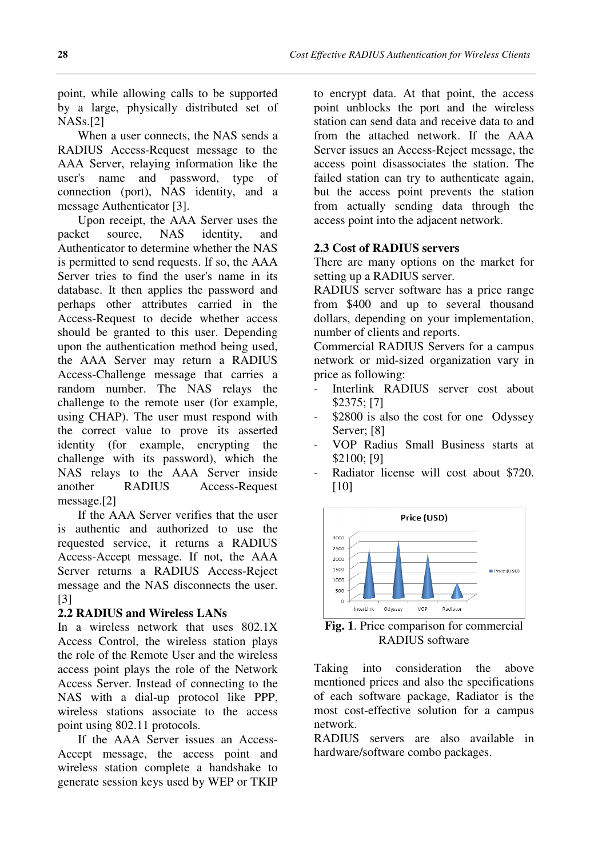point, while allowing calls to be supported by a large, physically distributed set of NASs.[2]

When a user connects, the NAS sends a RADIUS Access-Request message to the AAA Server, relaying information like the user's name and password, type of connection (port), NAS identity, and a message Authenticator [3].

Upon receipt, the AAA Server uses the packet source, NAS identity, and Authenticator to determine whether the NAS is permitted to send requests. If so, the AAA Server tries to find the user's name in its database. It then applies the password and perhaps other attributes carried in the Access-Request to decide whether access should be granted to this user. Depending upon the authentication method being used, the AAA Server may return a RADIUS Access-Challenge message that carries a random number. The NAS relays the challenge to the remote user (for example, using CHAP). The user must respond with the correct value to prove its asserted identity (for example, encrypting the challenge with its password), which the NAS relays to the AAA Server inside another RADIUS Access-Request message.[2]

If the AAA Server verifies that the user is authentic and authorized to use the requested service, it returns a RADIUS Access-Accept message. If not, the AAA Server returns a RADIUS Access-Reject message and the NAS disconnects the user. [3]

### **2.2 RADIUS and Wireless LANs**

In a wireless network that uses 802.1X Access Control, the wireless station plays the role of the Remote User and the wireless access point plays the role of the Network Access Server. Instead of connecting to the NAS with a dial-up protocol like PPP, wireless stations associate to the access point using 802.11 protocols.

If the AAA Server issues an Access-Accept message, the access point and wireless station complete a handshake to generate session keys used by WEP or TKIP

to encrypt data. At that point, the access point unblocks the port and the wireless station can send data and receive data to and from the attached network. If the AAA Server issues an Access-Reject message, the access point disassociates the station. The failed station can try to authenticate again, but the access point prevents the station from actually sending data through the access point into the adjacent network.

### **2.3 Cost of RADIUS servers**

There are many options on the market for setting up a RADIUS server.

RADIUS server software has a price range from \$400 and up to several thousand dollars, depending on your implementation, number of clients and reports.

Commercial RADIUS Servers for a campus network or mid-sized organization vary in price as following:

- Interlink RADIUS server cost about \$2375; [7]
- \$2800 is also the cost for one Odyssey Server; [8]
- VOP Radius Small Business starts at \$2100; [9]
- Radiator license will cost about \$720. [10]



**Fig. 1**. Price comparison for commercial RADIUS software

Taking into consideration the above mentioned prices and also the specifications of each software package, Radiator is the most cost-effective solution for a campus network.

RADIUS servers are also available in hardware/software combo packages.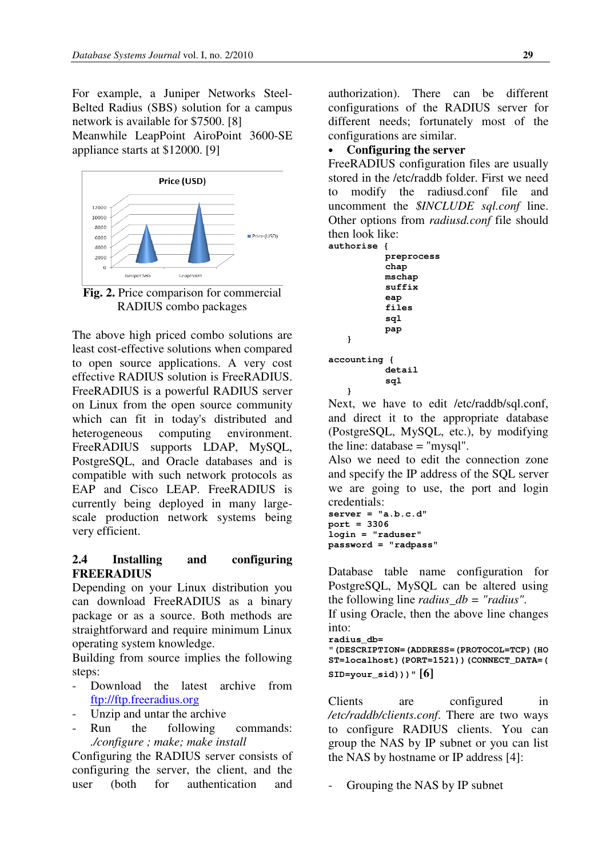For example, a Juniper Networks Steel-Belted Radius (SBS) solution for a campus network is available for \$7500. [8]

Meanwhile LeapPoint AiroPoint 3600-SE appliance starts at \$12000. [9]



**Fig. 2.** Price comparison for commercial RADIUS combo packages

The above high priced combo solutions are least cost-effective solutions when compared to open source applications. A very cost effective RADIUS solution is FreeRADIUS. FreeRADIUS is a powerful RADIUS server on Linux from the open source community which can fit in today's distributed and heterogeneous computing environment. FreeRADIUS supports LDAP, MySQL, PostgreSQL, and Oracle databases and is compatible with such network protocols as EAP and Cisco LEAP. FreeRADIUS is currently being deployed in many largescale production network systems being very efficient.

## **2.4 Installing and configuring FREERADIUS**

Depending on your Linux distribution you can download FreeRADIUS as a binary package or as a source. Both methods are straightforward and require minimum Linux operating system knowledge.

Building from source implies the following steps:

- Download the latest archive from ftp://ftp.freeradius.org
- Unzip and untar the archive
- Run the following commands: *./configure ; make; make install*

Configuring the RADIUS server consists of configuring the server, the client, and the user (both for authentication and

authorization). There can be different configurations of the RADIUS server for different needs; fortunately most of the configurations are similar.

## • **Configuring the server**

FreeRADIUS configuration files are usually stored in the /etc/raddb folder. First we need to modify the radiusd.conf file and uncomment the *\$INCLUDE sql.conf* line. Other options from *radiusd.conf* file should then look like:

```
authorise { 
               preprocess 
               chap 
               mschap 
               suffix 
                eap 
                files 
               sql 
               pap 
    } 
accounting { 
                detail 
               sql 
    }
```
Next, we have to edit /etc/raddb/sql.conf, and direct it to the appropriate database (PostgreSQL, MySQL, etc.), by modifying the line: database  $=$  "mysql".

Also we need to edit the connection zone and specify the IP address of the SQL server we are going to use, the port and login credentials:

```
server = "a.b.c.d" 
port = 3306 
login = "raduser" 
password = "radpass"
```
Database table name configuration for PostgreSQL, MySQL can be altered using the following line *radius\_db = "radius"*.

If using Oracle, then the above line changes into:

```
radius_db=
```
**"(DESCRIPTION=(ADDRESS=(PROTOCOL=TCP)(HO ST=localhost)(PORT=1521))(CONNECT\_DATA=( SID=your\_sid)))" [6]**

Clients are configured in */etc/raddb/clients.conf*. There are two ways to configure RADIUS clients. You can group the NAS by IP subnet or you can list the NAS by hostname or IP address [4]:

Grouping the NAS by IP subnet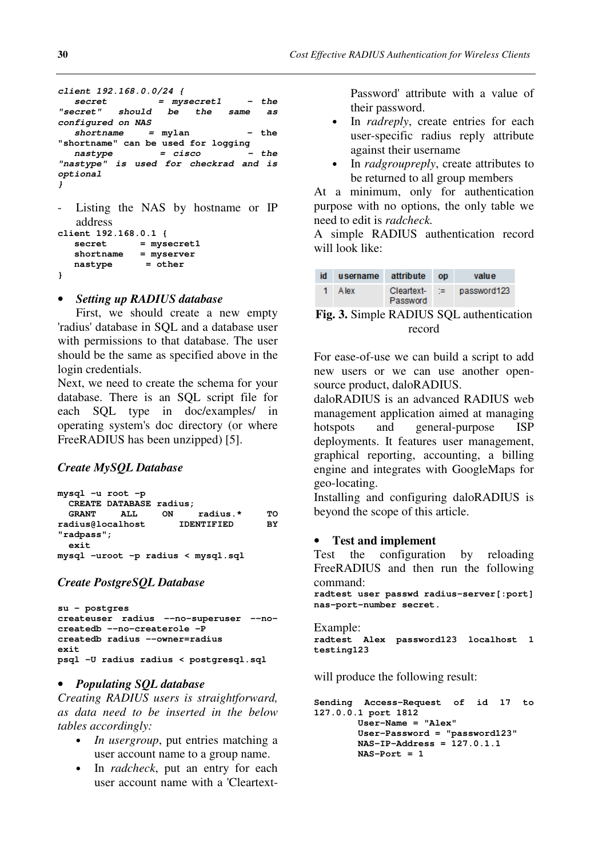```
client 192.168.0.0/24 { 
 secret = mysecret1 - the 
"secret" should be the same as 
configured on NAS
   shortname = mylan - the 
"shortname" can be used for logging 
  nastype = cisco
"nastype" is used for checkrad and is 
optional 
} 
  Listing the NAS by hostname or IP
  address 
client 192.168.0.1 { 
   secret = mysecret1 
   shortname = myserver 
   nastype = other 
}
```
## • *Setting up RADIUS database*

First, we should create a new empty 'radius' database in SQL and a database user with permissions to that database. The user should be the same as specified above in the login credentials.

Next, we need to create the schema for your database. There is an SQL script file for each SQL type in doc/examples/ in operating system's doc directory (or where FreeRADIUS has been unzipped) [5].

## *Create MySQL Database*

| mysql -u root -p |                         |                   |                                    |    |
|------------------|-------------------------|-------------------|------------------------------------|----|
|                  | CREATE DATABASE radius; |                   |                                    |    |
| <b>GRANT</b>     | ALL.                    | ON                | radius.*                           | то |
| radius@localhost |                         | <b>IDENTIFIED</b> |                                    | BY |
| $"radpass"$ ;    |                         |                   |                                    |    |
| exit             |                         |                   |                                    |    |
|                  |                         |                   | mysql -uroot -p radius < mysql.sql |    |

### *Create PostgreSQL Database*

```
su - postgres 
createuser radius --no-superuser --no-
createdb --no-createrole -P 
createdb radius --owner=radius 
exit 
psql -U radius radius < postgresql.sql
```
### • *Populating SQL database*

*Creating RADIUS users is straightforward, as data need to be inserted in the below tables accordingly:* 

- *In usergroup*, put entries matching a user account name to a group name.
- In *radcheck*, put an entry for each user account name with a 'Cleartext-

Password' attribute with a value of their password.

- In *radreply*, create entries for each user-specific radius reply attribute against their username
- In *radgroupreply*, create attributes to be returned to all group members

At a minimum, only for authentication purpose with no options, the only table we need to edit is *radcheck.* 

A simple RADIUS authentication record will look like:

| id | username | attribute              | <b>OD</b> | value       |
|----|----------|------------------------|-----------|-------------|
|    | A lex    | Cleartext-<br>Password | - 1720-1  | password123 |

**Fig. 3.** Simple RADIUS SQL authentication record

For ease-of-use we can build a script to add new users or we can use another opensource product, daloRADIUS.

daloRADIUS is an advanced RADIUS web management application aimed at managing hotspots and general-purpose ISP deployments. It features user management, graphical reporting, accounting, a billing engine and integrates with GoogleMaps for geo-locating.

Installing and configuring daloRADIUS is beyond the scope of this article.

### • **Test and implement**

Test the configuration by reloading FreeRADIUS and then run the following command:

**radtest user passwd radius-server[:port] nas-port-number secret.** 

```
Example: 
radtest Alex password123 localhost 1 
testing123
```
will produce the following result:

```
Sending Access-Request of id 17 to 
127.0.0.1 port 1812 
        User-Name = "Alex" 
         User-Password = "password123" 
         NAS-IP-Address = 127.0.1.1 
         NAS-Port = 1
```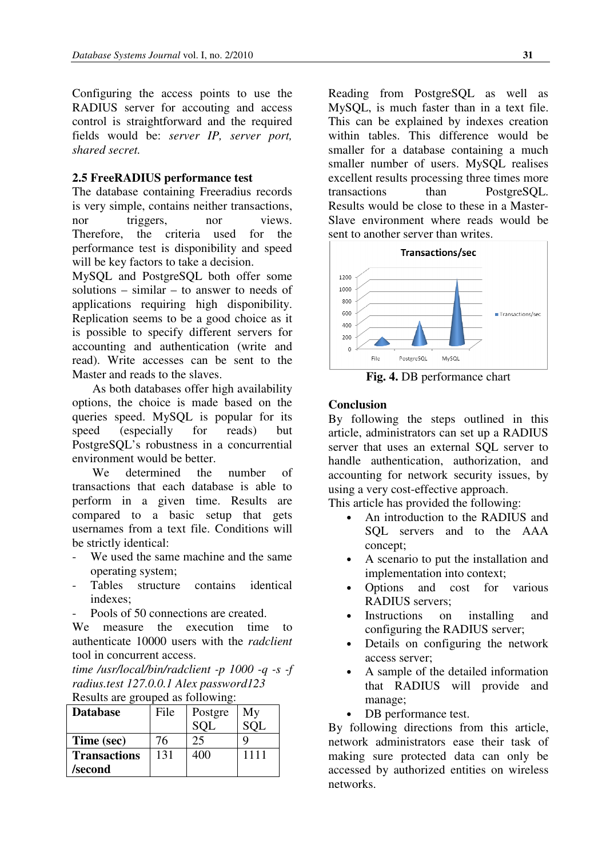Configuring the access points to use the RADIUS server for accouting and access control is straightforward and the required fields would be: *server IP, server port, shared secret.* 

#### **2.5 FreeRADIUS performance test**

The database containing Freeradius records is very simple, contains neither transactions, nor triggers, nor views. Therefore, the criteria used for the performance test is disponibility and speed will be key factors to take a decision.

MySQL and PostgreSQL both offer some solutions – similar – to answer to needs of applications requiring high disponibility. Replication seems to be a good choice as it is possible to specify different servers for accounting and authentication (write and read). Write accesses can be sent to the Master and reads to the slaves.

As both databases offer high availability options, the choice is made based on the queries speed. MySQL is popular for its speed (especially for reads) but PostgreSQL's robustness in a concurrential environment would be better.

We determined the number of transactions that each database is able to perform in a given time. Results are compared to a basic setup that gets usernames from a text file. Conditions will be strictly identical:

- We used the same machine and the same operating system;
- Tables structure contains identical indexes;
- Pools of 50 connections are created.

We measure the execution time to authenticate 10000 users with the *radclient* tool in concurrent access.

*time /usr/local/bin/radclient -p 1000 -q -s -f radius.test 127.0.0.1 Alex password123*  Results are grouped as following:

| $1000$ and $10000$ as $1010$ will, |      |            |      |  |  |  |
|------------------------------------|------|------------|------|--|--|--|
| <b>Database</b>                    | File | Postgre    | My   |  |  |  |
|                                    |      | <b>SOL</b> |      |  |  |  |
| Time (sec)                         | 76   | 25         |      |  |  |  |
| <b>Transactions</b>                | 131  | 400        | 1111 |  |  |  |
| /second                            |      |            |      |  |  |  |

Reading from PostgreSQL as well as MySQL, is much faster than in a text file. This can be explained by indexes creation within tables. This difference would be smaller for a database containing a much smaller number of users. MySQL realises excellent results processing three times more transactions than PostgreSQL. Results would be close to these in a Master-Slave environment where reads would be sent to another server than writes.



**Fig. 4.** DB performance chart

#### **Conclusion**

By following the steps outlined in this article, administrators can set up a RADIUS server that uses an external SQL server to handle authentication, authorization, and accounting for network security issues, by using a very cost-effective approach.

This article has provided the following:

- An introduction to the RADIUS and SQL servers and to the AAA concept;
- A scenario to put the installation and implementation into context;
- Options and cost for various RADIUS servers;
- Instructions on installing and configuring the RADIUS server;
- Details on configuring the network access server;
- A sample of the detailed information that RADIUS will provide and manage;
- DB performance test.

By following directions from this article, network administrators ease their task of making sure protected data can only be accessed by authorized entities on wireless networks.